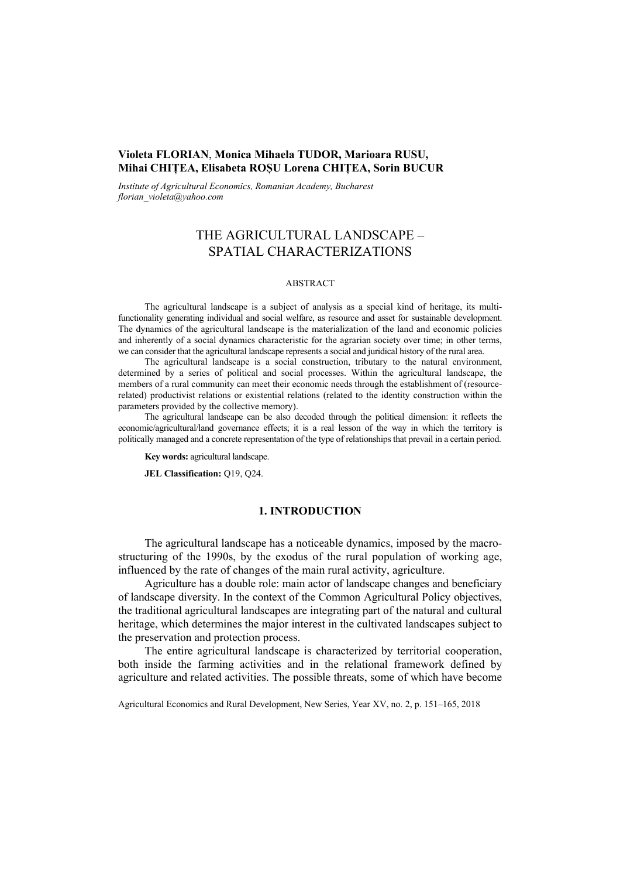# **Violeta FLORIAN**, **Monica Mihaela TUDOR, Marioara RUSU, Mihai CHIȚEA, Elisabeta ROȘU Lorena CHIȚEA, Sorin BUCUR**

*Institute of Agricultural Economics, Romanian Academy, Bucharest florian\_violeta@yahoo.com*

# THE AGRICULTURAL LANDSCAPE – SPATIAL CHARACTERIZATIONS

#### ABSTRACT

The agricultural landscape is a subject of analysis as a special kind of heritage, its multifunctionality generating individual and social welfare, as resource and asset for sustainable development. The dynamics of the agricultural landscape is the materialization of the land and economic policies and inherently of a social dynamics characteristic for the agrarian society over time; in other terms, we can consider that the agricultural landscape represents a social and juridical history of the rural area.

The agricultural landscape is a social construction, tributary to the natural environment, determined by a series of political and social processes. Within the agricultural landscape, the members of a rural community can meet their economic needs through the establishment of (resourcerelated) productivist relations or existential relations (related to the identity construction within the parameters provided by the collective memory).

The agricultural landscape can be also decoded through the political dimension: it reflects the economic/agricultural/land governance effects; it is a real lesson of the way in which the territory is politically managed and a concrete representation of the type of relationships that prevail in a certain period.

**Key words:** agricultural landscape.

**JEL Classification:** Q19, Q24.

# **1. INTRODUCTION**

The agricultural landscape has a noticeable dynamics, imposed by the macrostructuring of the 1990s, by the exodus of the rural population of working age, influenced by the rate of changes of the main rural activity, agriculture.

Agriculture has a double role: main actor of landscape changes and beneficiary of landscape diversity. In the context of the Common Agricultural Policy objectives, the traditional agricultural landscapes are integrating part of the natural and cultural heritage, which determines the major interest in the cultivated landscapes subject to the preservation and protection process.

The entire agricultural landscape is characterized by territorial cooperation, both inside the farming activities and in the relational framework defined by agriculture and related activities. The possible threats, some of which have become

Agricultural Economics and Rural Development, New Series, Year XV, no. 2, p. 151–165, 2018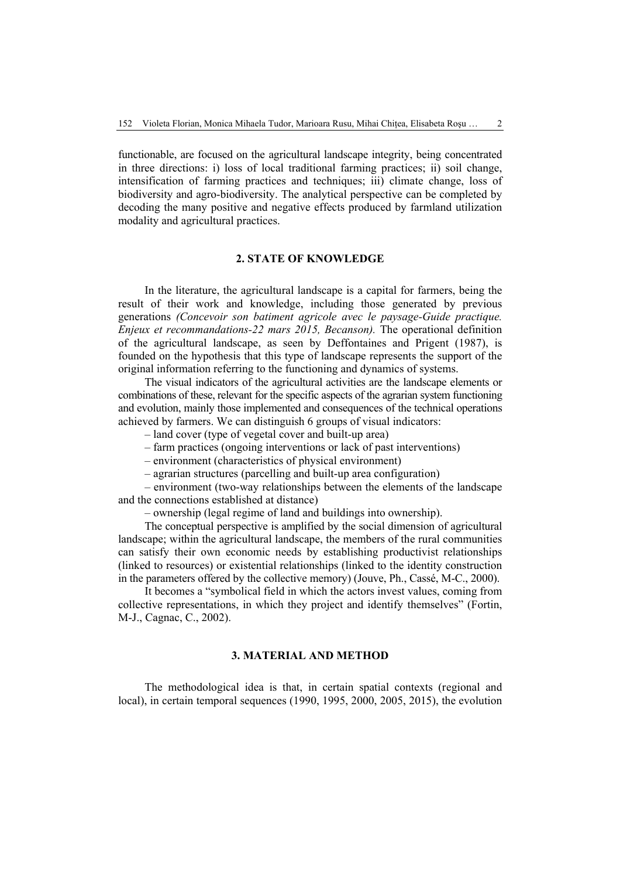functionable, are focused on the agricultural landscape integrity, being concentrated in three directions: i) loss of local traditional farming practices; ii) soil change, intensification of farming practices and techniques; iii) climate change, loss of biodiversity and agro-biodiversity. The analytical perspective can be completed by decoding the many positive and negative effects produced by farmland utilization modality and agricultural practices.

## **2. STATE OF KNOWLEDGE**

In the literature, the agricultural landscape is a capital for farmers, being the result of their work and knowledge, including those generated by previous generations *(Concevoir son batiment agricole avec le paysage-Guide practique. Enjeux et recommandations-22 mars 2015, Becanson).* The operational definition of the agricultural landscape, as seen by Deffontaines and Prigent (1987), is founded on the hypothesis that this type of landscape represents the support of the original information referring to the functioning and dynamics of systems.

The visual indicators of the agricultural activities are the landscape elements or combinations of these, relevant for the specific aspects of the agrarian system functioning and evolution, mainly those implemented and consequences of the technical operations achieved by farmers. We can distinguish 6 groups of visual indicators:

– land cover (type of vegetal cover and built-up area)

– farm practices (ongoing interventions or lack of past interventions)

– environment (characteristics of physical environment)

– agrarian structures (parcelling and built-up area configuration)

– environment (two-way relationships between the elements of the landscape and the connections established at distance)

– ownership (legal regime of land and buildings into ownership).

The conceptual perspective is amplified by the social dimension of agricultural landscape; within the agricultural landscape, the members of the rural communities can satisfy their own economic needs by establishing productivist relationships (linked to resources) or existential relationships (linked to the identity construction in the parameters offered by the collective memory) (Jouve, Ph., Cassé, M-C., 2000).

It becomes a "symbolical field in which the actors invest values, coming from collective representations, in which they project and identify themselves" (Fortin, M-J., Cagnac, C., 2002).

### **3. MATERIAL AND METHOD**

The methodological idea is that, in certain spatial contexts (regional and local), in certain temporal sequences (1990, 1995, 2000, 2005, 2015), the evolution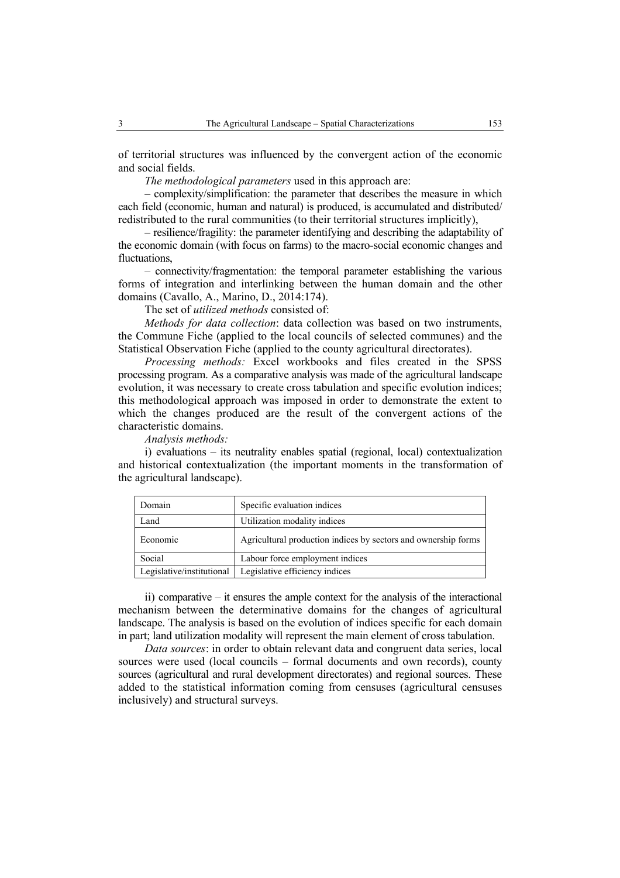of territorial structures was influenced by the convergent action of the economic and social fields.

*The methodological parameters* used in this approach are:

*–* complexity/simplification: the parameter that describes the measure in which each field (economic, human and natural) is produced, is accumulated and distributed/ redistributed to the rural communities (to their territorial structures implicitly),

– resilience/fragility: the parameter identifying and describing the adaptability of the economic domain (with focus on farms) to the macro-social economic changes and fluctuations,

– connectivity/fragmentation: the temporal parameter establishing the various forms of integration and interlinking between the human domain and the other domains (Cavallo, A., Marino, D., 2014:174).

The set of *utilized methods* consisted of:

*Methods for data collection*: data collection was based on two instruments, the Commune Fiche (applied to the local councils of selected communes) and the Statistical Observation Fiche (applied to the county agricultural directorates).

*Processing methods:* Excel workbooks and files created in the SPSS processing program. As a comparative analysis was made of the agricultural landscape evolution, it was necessary to create cross tabulation and specific evolution indices; this methodological approach was imposed in order to demonstrate the extent to which the changes produced are the result of the convergent actions of the characteristic domains.

*Analysis methods:*

i) evaluations – its neutrality enables spatial (regional, local) contextualization and historical contextualization (the important moments in the transformation of the agricultural landscape).

| Domain                    | Specific evaluation indices                                    |
|---------------------------|----------------------------------------------------------------|
| Land                      | Utilization modality indices                                   |
| Economic                  | Agricultural production indices by sectors and ownership forms |
| Social                    | Labour force employment indices                                |
| Legislative/institutional | Legislative efficiency indices                                 |

ii) comparative – it ensures the ample context for the analysis of the interactional mechanism between the determinative domains for the changes of agricultural landscape. The analysis is based on the evolution of indices specific for each domain in part; land utilization modality will represent the main element of cross tabulation.

*Data sources*: in order to obtain relevant data and congruent data series, local sources were used (local councils – formal documents and own records), county sources (agricultural and rural development directorates) and regional sources. These added to the statistical information coming from censuses (agricultural censuses inclusively) and structural surveys.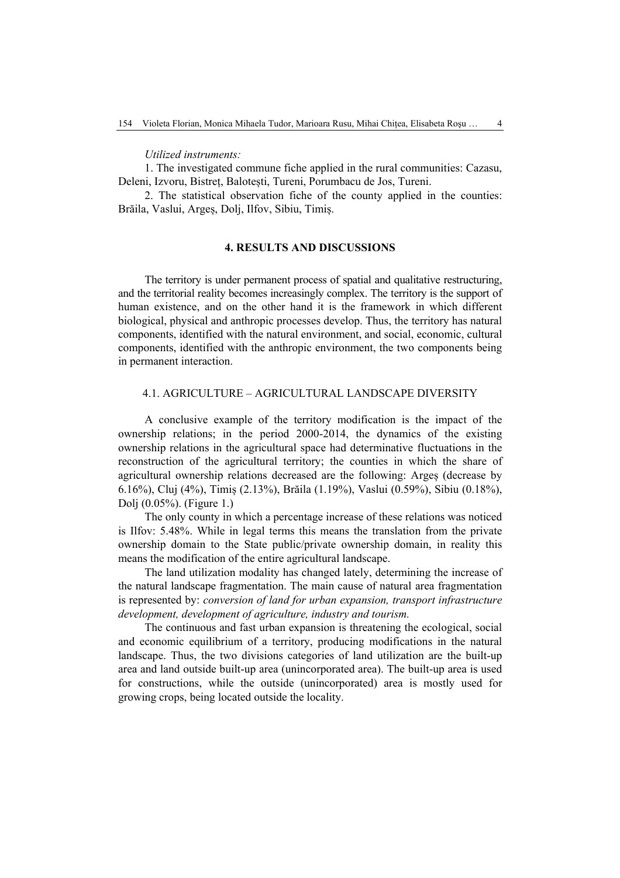*Utilized instruments:* 

1. The investigated commune fiche applied in the rural communities: Cazasu, Deleni, Izvoru, Bistreț, Balotești, Tureni, Porumbacu de Jos, Tureni.

2. The statistical observation fiche of the county applied in the counties: Brăila, Vaslui, Argeș, Dolj, Ilfov, Sibiu, Timiș.

### **4. RESULTS AND DISCUSSIONS**

The territory is under permanent process of spatial and qualitative restructuring, and the territorial reality becomes increasingly complex. The territory is the support of human existence, and on the other hand it is the framework in which different biological, physical and anthropic processes develop. Thus, the territory has natural components, identified with the natural environment, and social, economic, cultural components, identified with the anthropic environment, the two components being in permanent interaction.

### 4.1. AGRICULTURE – AGRICULTURAL LANDSCAPE DIVERSITY

A conclusive example of the territory modification is the impact of the ownership relations; in the period 2000-2014, the dynamics of the existing ownership relations in the agricultural space had determinative fluctuations in the reconstruction of the agricultural territory; the counties in which the share of agricultural ownership relations decreased are the following: Argeș (decrease by 6.16%), Cluj (4%), Timiș (2.13%), Brăila (1.19%), Vaslui (0.59%), Sibiu (0.18%), Dolj (0.05%). (Figure 1.)

The only county in which a percentage increase of these relations was noticed is Ilfov: 5.48%. While in legal terms this means the translation from the private ownership domain to the State public/private ownership domain, in reality this means the modification of the entire agricultural landscape.

The land utilization modality has changed lately, determining the increase of the natural landscape fragmentation. The main cause of natural area fragmentation is represented by: *conversion of land for urban expansion, transport infrastructure development, development of agriculture, industry and tourism.*

The continuous and fast urban expansion is threatening the ecological, social and economic equilibrium of a territory, producing modifications in the natural landscape. Thus, the two divisions categories of land utilization are the built-up area and land outside built-up area (unincorporated area). The built-up area is used for constructions, while the outside (unincorporated) area is mostly used for growing crops, being located outside the locality.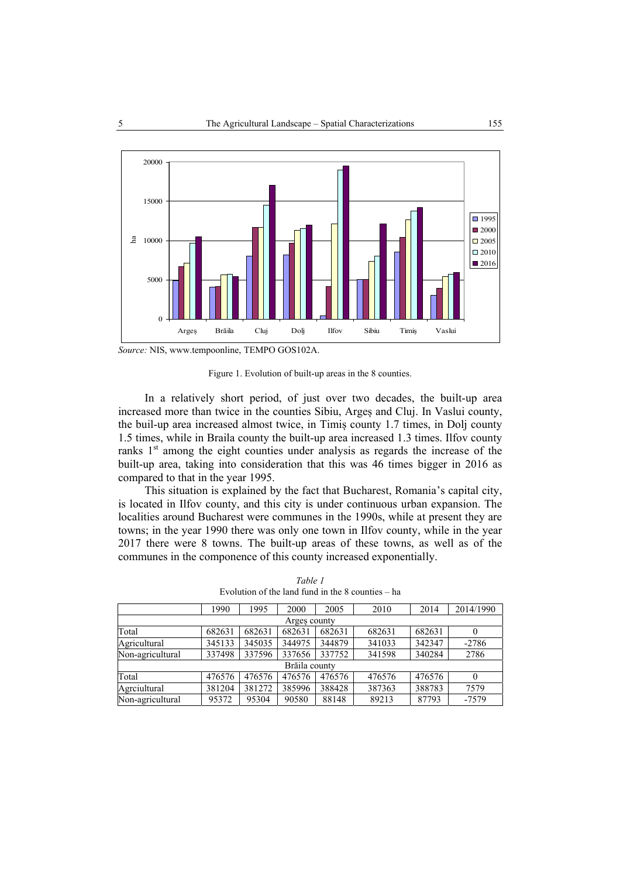

*Source:* NIS, www.tempoonline, TEMPO GOS102A.

Figure 1. Evolution of built-up areas in the 8 counties.

In a relatively short period, of just over two decades, the built-up area increased more than twice in the counties Sibiu, Argeș and Cluj. In Vaslui county, the buil-up area increased almost twice, in Timiș county 1.7 times, in Dolj county 1.5 times, while in Braila county the built-up area increased 1.3 times. Ilfov county ranks  $1<sup>st</sup>$  among the eight counties under analysis as regards the increase of the built-up area, taking into consideration that this was 46 times bigger in 2016 as compared to that in the year 1995.

This situation is explained by the fact that Bucharest, Romania's capital city, is located in Ilfov county, and this city is under continuous urban expansion. The localities around Bucharest were communes in the 1990s, while at present they are towns; in the year 1990 there was only one town in Ilfov county, while in the year 2017 there were 8 towns. The built-up areas of these towns, as well as of the communes in the componence of this county increased exponentially.

|                  | 1990   | 1995   | 2000          | 2005   | 2010   | 2014   | 2014/1990 |  |  |  |  |  |
|------------------|--------|--------|---------------|--------|--------|--------|-----------|--|--|--|--|--|
| Arges county     |        |        |               |        |        |        |           |  |  |  |  |  |
| Total            | 682631 | 682631 | 682631        | 682631 | 682631 | 682631 | 0         |  |  |  |  |  |
| Agricultural     | 345133 | 345035 | 344975        | 344879 | 341033 | 342347 | $-2786$   |  |  |  |  |  |
| Non-agricultural | 337498 | 337596 | 337656        | 337752 | 341598 | 340284 | 2786      |  |  |  |  |  |
|                  |        |        | Brăila county |        |        |        |           |  |  |  |  |  |
| Total            | 476576 | 476576 | 476576        | 476576 | 476576 | 476576 | $\theta$  |  |  |  |  |  |
| Agreiultural     | 381204 | 381272 | 385996        | 388428 | 387363 | 388783 | 7579      |  |  |  |  |  |
| Non-agricultural | 95372  | 95304  | 90580         | 88148  | 89213  | 87793  | $-7579$   |  |  |  |  |  |

*Table 1*  Evolution of the land fund in the 8 counties – ha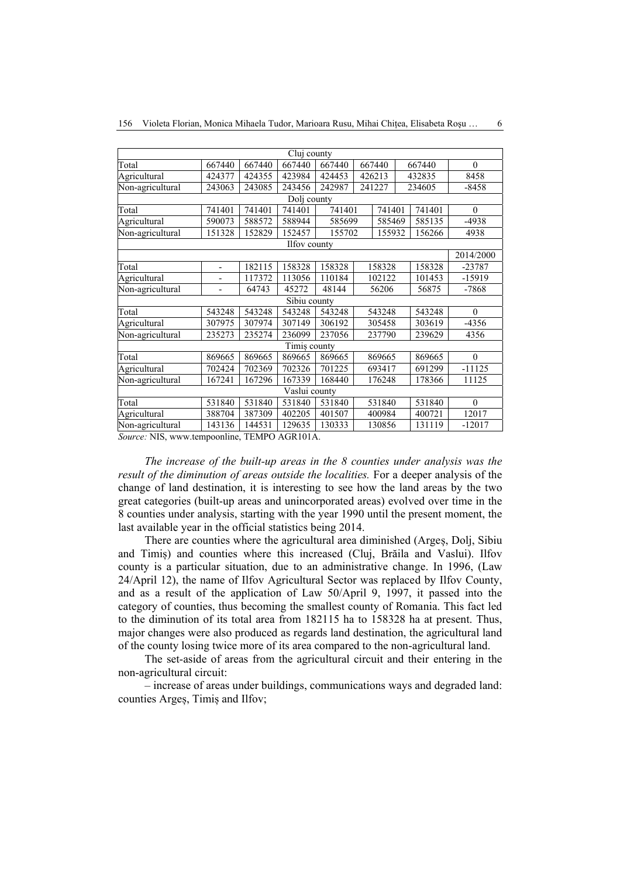| Cluj county                                  |                          |        |               |        |        |        |        |                  |  |  |  |  |  |
|----------------------------------------------|--------------------------|--------|---------------|--------|--------|--------|--------|------------------|--|--|--|--|--|
| Total                                        | 667440                   | 667440 | 667440        | 667440 | 667440 |        | 667440 | $\theta$         |  |  |  |  |  |
| Agricultural                                 | 424377                   | 424355 | 423984        | 424453 | 426213 |        | 432835 | 8458             |  |  |  |  |  |
| Non-agricultural                             | 243063                   | 243085 | 243456        | 242987 | 241227 |        | 234605 | $-8458$          |  |  |  |  |  |
| Dolj county                                  |                          |        |               |        |        |        |        |                  |  |  |  |  |  |
| Total                                        | 741401                   | 741401 | 741401        | 741401 |        | 741401 | 741401 | $\theta$         |  |  |  |  |  |
| Agricultural                                 | 590073                   | 588572 | 588944        | 585699 |        | 585469 | 585135 | $-4938$          |  |  |  |  |  |
| Non-agricultural                             | 151328                   | 152829 | 152457        | 155702 |        | 155932 | 156266 | 4938             |  |  |  |  |  |
|                                              | Ilfov county             |        |               |        |        |        |        |                  |  |  |  |  |  |
|                                              |                          |        |               |        |        |        |        |                  |  |  |  |  |  |
| Total                                        | $\overline{\phantom{0}}$ | 182115 | 158328        | 158328 | 158328 |        | 158328 | $-23787$         |  |  |  |  |  |
| Agricultural                                 |                          | 117372 | 113056        | 110184 | 102122 |        | 101453 | -15919           |  |  |  |  |  |
| Non-agricultural                             | $\overline{\phantom{0}}$ | 64743  | 45272         | 48144  | 56206  |        | 56875  | $-7868$          |  |  |  |  |  |
|                                              |                          |        | Sibiu county  |        |        |        |        |                  |  |  |  |  |  |
| Total                                        | 543248                   | 543248 | 543248        | 543248 | 543248 |        | 543248 | $\theta$         |  |  |  |  |  |
| Agricultural                                 | 307975                   | 307974 | 307149        | 306192 | 305458 |        | 303619 | $-4356$          |  |  |  |  |  |
| Non-agricultural                             | 235273                   | 235274 | 236099        | 237056 | 237790 |        | 239629 | 4356             |  |  |  |  |  |
|                                              |                          |        | Timiş county  |        |        |        |        |                  |  |  |  |  |  |
| Total                                        | 869665                   | 869665 | 869665        | 869665 | 869665 |        | 869665 | $\theta$         |  |  |  |  |  |
| Agricultural                                 | 702424                   | 702369 | 702326        | 701225 | 693417 |        | 691299 | $-11125$         |  |  |  |  |  |
| Non-agricultural                             | 167241                   | 167296 | 167339        | 168440 | 176248 |        | 178366 | 11125            |  |  |  |  |  |
|                                              |                          |        | Vaslui county |        |        |        |        |                  |  |  |  |  |  |
| Total                                        | 531840                   | 531840 | 531840        | 531840 | 531840 |        | 531840 | $\boldsymbol{0}$ |  |  |  |  |  |
| Agricultural                                 | 388704                   | 387309 | 402205        | 401507 | 400984 |        | 400721 | 12017            |  |  |  |  |  |
| Non-agricultural                             | 143136                   | 144531 | 129635        | 130333 | 130856 |        | 131119 | $-12017$         |  |  |  |  |  |
| Source: NIS, www.tempoonline, TEMPO AGR101A. |                          |        |               |        |        |        |        |                  |  |  |  |  |  |

156 Violeta Florian, Monica Mihaela Tudor, Marioara Rusu, Mihai Chițea, Elisabeta Roșu ... 6

*The increase of the built-up areas in the 8 counties under analysis was the result of the diminution of areas outside the localities.* For a deeper analysis of the change of land destination, it is interesting to see how the land areas by the two great categories (built-up areas and unincorporated areas) evolved over time in the 8 counties under analysis, starting with the year 1990 until the present moment, the

last available year in the official statistics being 2014. There are counties where the agricultural area diminished (Argeș, Dolj, Sibiu and Timiș) and counties where this increased (Cluj, Brăila and Vaslui). Ilfov county is a particular situation, due to an administrative change. In 1996, (Law 24/April 12), the name of Ilfov Agricultural Sector was replaced by Ilfov County, and as a result of the application of Law 50/April 9, 1997, it passed into the category of counties, thus becoming the smallest county of Romania. This fact led to the diminution of its total area from 182115 ha to 158328 ha at present. Thus, major changes were also produced as regards land destination, the agricultural land of the county losing twice more of its area compared to the non-agricultural land.

The set-aside of areas from the agricultural circuit and their entering in the non-agricultural circuit:

– increase of areas under buildings, communications ways and degraded land: counties Argeș, Timiș and Ilfov;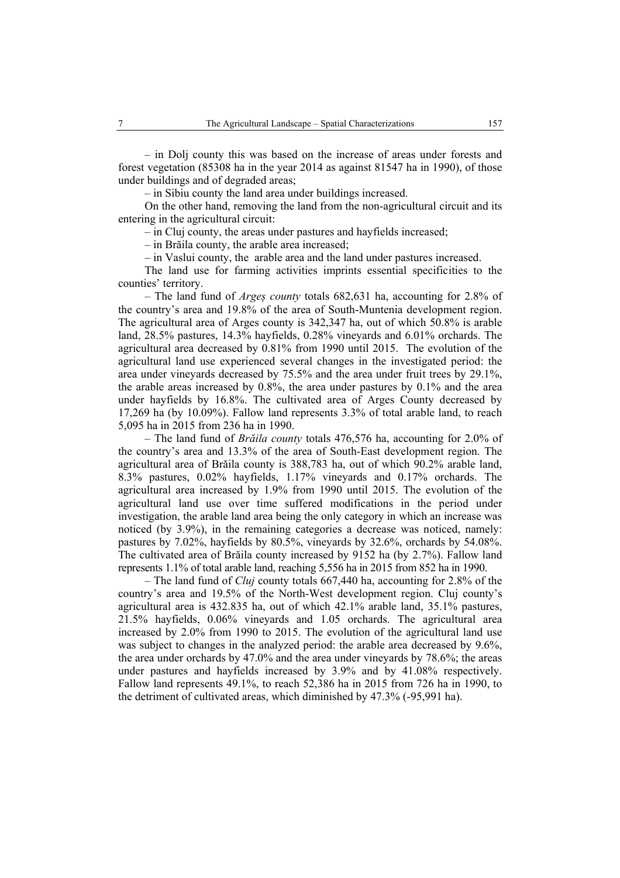– in Dolj county this was based on the increase of areas under forests and forest vegetation (85308 ha in the year 2014 as against 81547 ha in 1990), of those under buildings and of degraded areas;

*–* in Sibiu county the land area under buildings increased.

On the other hand, removing the land from the non-agricultural circuit and its entering in the agricultural circuit:

– in Cluj county, the areas under pastures and hayfields increased;

– in Brăila county, the arable area increased;

– in Vaslui county, the arable area and the land under pastures increased.

The land use for farming activities imprints essential specificities to the counties' territory.

– The land fund of *Argeș county* totals 682,631 ha, accounting for 2.8% of the country's area and 19.8% of the area of South-Muntenia development region. The agricultural area of Arges county is 342,347 ha, out of which 50.8% is arable land, 28.5% pastures, 14.3% hayfields, 0.28% vineyards and 6.01% orchards. The agricultural area decreased by 0.81% from 1990 until 2015. The evolution of the agricultural land use experienced several changes in the investigated period: the area under vineyards decreased by 75.5% and the area under fruit trees by 29.1%, the arable areas increased by 0.8%, the area under pastures by 0.1% and the area under hayfields by 16.8%. The cultivated area of Arges County decreased by 17,269 ha (by 10.09%). Fallow land represents 3.3% of total arable land, to reach 5,095 ha in 2015 from 236 ha in 1990.

– The land fund of *Brăila county* totals 476,576 ha, accounting for 2.0% of the country's area and 13.3% of the area of South-East development region. The agricultural area of Brăila county is 388,783 ha, out of which 90.2% arable land, 8.3% pastures, 0.02% hayfields, 1.17% vineyards and 0.17% orchards. The agricultural area increased by 1.9% from 1990 until 2015. The evolution of the agricultural land use over time suffered modifications in the period under investigation, the arable land area being the only category in which an increase was noticed (by 3.9%), in the remaining categories a decrease was noticed, namely: pastures by 7.02%, hayfields by 80.5%, vineyards by 32.6%, orchards by 54.08%. The cultivated area of Brăila county increased by 9152 ha (by 2.7%). Fallow land represents 1.1% of total arable land, reaching 5,556 ha in 2015 from 852 ha in 1990.

– The land fund of *Cluj* county totals 667,440 ha, accounting for 2.8% of the country's area and 19.5% of the North-West development region. Cluj county's agricultural area is 432.835 ha, out of which 42.1% arable land, 35.1% pastures, 21.5% hayfields, 0.06% vineyards and 1.05 orchards. The agricultural area increased by 2.0% from 1990 to 2015. The evolution of the agricultural land use was subject to changes in the analyzed period: the arable area decreased by 9.6%, the area under orchards by 47.0% and the area under vineyards by 78.6%; the areas under pastures and hayfields increased by 3.9% and by 41.08% respectively. Fallow land represents 49.1%, to reach 52,386 ha in 2015 from 726 ha in 1990, to the detriment of cultivated areas, which diminished by 47.3% (-95,991 ha).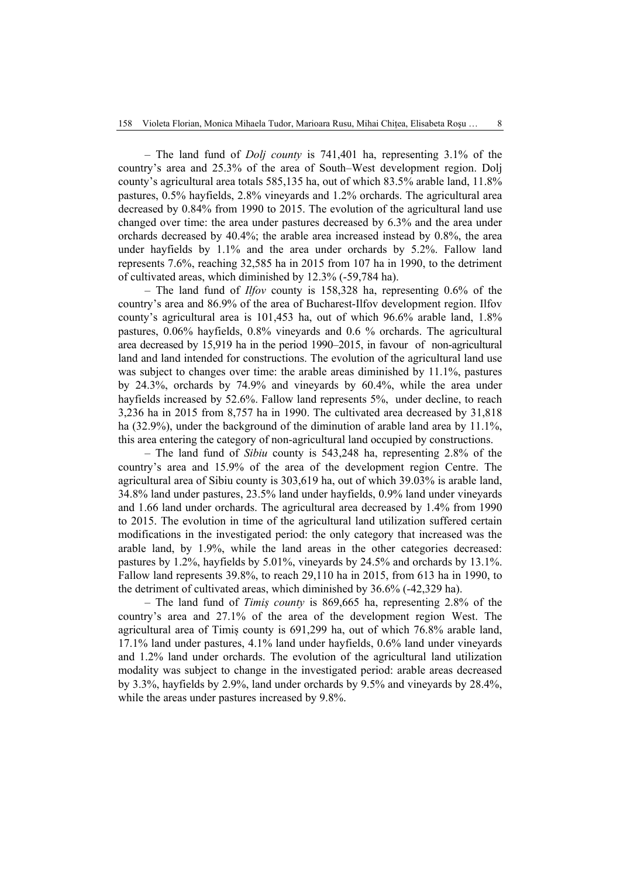– The land fund of *Dolj county* is 741,401 ha, representing 3.1% of the country's area and 25.3% of the area of South–West development region. Dolj county's agricultural area totals 585,135 ha, out of which 83.5% arable land, 11.8% pastures, 0.5% hayfields, 2.8% vineyards and 1.2% orchards. The agricultural area decreased by 0.84% from 1990 to 2015. The evolution of the agricultural land use changed over time: the area under pastures decreased by 6.3% and the area under orchards decreased by 40.4%; the arable area increased instead by 0.8%, the area under hayfields by 1.1% and the area under orchards by 5.2%. Fallow land represents 7.6%, reaching 32,585 ha in 2015 from 107 ha in 1990, to the detriment of cultivated areas, which diminished by 12.3% (-59,784 ha).

– The land fund of *Ilfov* county is 158,328 ha, representing 0.6% of the country's area and 86.9% of the area of Bucharest-Ilfov development region. Ilfov county's agricultural area is 101,453 ha, out of which 96.6% arable land, 1.8% pastures, 0.06% hayfields, 0.8% vineyards and 0.6 % orchards. The agricultural area decreased by 15,919 ha in the period 1990–2015, in favour of non-agricultural land and land intended for constructions. The evolution of the agricultural land use was subject to changes over time: the arable areas diminished by 11.1%, pastures by 24.3%, orchards by 74.9% and vineyards by 60.4%, while the area under hayfields increased by 52.6%. Fallow land represents 5%, under decline, to reach 3,236 ha in 2015 from 8,757 ha in 1990. The cultivated area decreased by 31,818 ha (32.9%), under the background of the diminution of arable land area by 11.1%, this area entering the category of non-agricultural land occupied by constructions.

– The land fund of *Sibiu* county is 543,248 ha, representing 2.8% of the country's area and 15.9% of the area of the development region Centre. The agricultural area of Sibiu county is 303,619 ha, out of which 39.03% is arable land, 34.8% land under pastures, 23.5% land under hayfields, 0.9% land under vineyards and 1.66 land under orchards. The agricultural area decreased by 1.4% from 1990 to 2015. The evolution in time of the agricultural land utilization suffered certain modifications in the investigated period: the only category that increased was the arable land, by 1.9%, while the land areas in the other categories decreased: pastures by 1.2%, hayfields by 5.01%, vineyards by 24.5% and orchards by 13.1%. Fallow land represents 39.8%, to reach 29,110 ha in 2015, from 613 ha in 1990, to the detriment of cultivated areas, which diminished by 36.6% (-42,329 ha).

– The land fund of *Timiș county* is 869,665 ha, representing 2.8% of the country's area and 27.1% of the area of the development region West. The agricultural area of Timiș county is 691,299 ha, out of which 76.8% arable land, 17.1% land under pastures, 4.1% land under hayfields, 0.6% land under vineyards and 1.2% land under orchards. The evolution of the agricultural land utilization modality was subject to change in the investigated period: arable areas decreased by 3.3%, hayfields by 2.9%, land under orchards by 9.5% and vineyards by 28.4%, while the areas under pastures increased by 9.8%.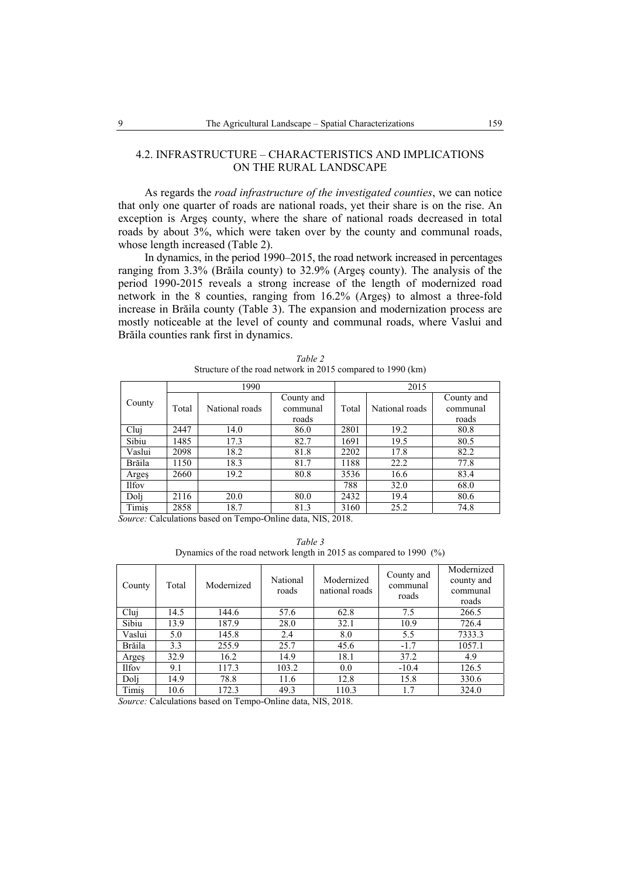### 4.2. INFRASTRUCTURE – CHARACTERISTICS AND IMPLICATIONS ON THE RURAL LANDSCAPE

As regards the *road infrastructure of the investigated counties*, we can notice that only one quarter of roads are national roads, yet their share is on the rise. An exception is Argeş county, where the share of national roads decreased in total roads by about 3%, which were taken over by the county and communal roads, whose length increased (Table 2).

In dynamics, in the period 1990–2015, the road network increased in percentages ranging from 3.3% (Brăila county) to 32.9% (Argeş county). The analysis of the period 1990-2015 reveals a strong increase of the length of modernized road network in the 8 counties, ranging from 16.2% (Argeş) to almost a three-fold increase in Brăila county (Table 3). The expansion and modernization process are mostly noticeable at the level of county and communal roads, where Vaslui and Brăila counties rank first in dynamics.

|              |       | 1990           |                                 |       | 2015           |                                 |
|--------------|-------|----------------|---------------------------------|-------|----------------|---------------------------------|
| County       | Total | National roads | County and<br>communal<br>roads | Total | National roads | County and<br>communal<br>roads |
| Clui         | 2447  | 14.0           | 86.0                            | 2801  | 19.2           | 80.8                            |
| Sibiu        | 1485  | 17.3           | 82.7                            | 1691  | 19.5           | 80.5                            |
| Vaslui       | 2098  | 18.2           | 81.8                            | 2202  | 17.8           | 82.2                            |
| Brăila       | 1150  | 18.3           | 81.7                            | 1188  | 22.2           | 77.8                            |
| Arges        | 2660  | 19.2           | 80.8                            | 3536  | 16.6           | 83.4                            |
| <b>Ilfov</b> |       |                |                                 | 788   | 32.0           | 68.0                            |
| Doli         | 2116  | 20.0           | 80.0                            | 2432  | 19.4           | 80.6                            |
| Timis        | 2858  | 18.7           | 81.3                            | 3160  | 25.2           | 74.8                            |

*Table 2* Structure of the road network in 2015 compared to 1990 (km)

*Source:* Calculations based on Tempo-Online data, NIS, 2018.

*Table 3* Dynamics of the road network length in 2015 as compared to 1990 (%)

| County       | Total | Modernized | National<br>roads | Modernized<br>national roads | County and<br>communal<br>roads | Modernized<br>county and<br>communal<br>roads |
|--------------|-------|------------|-------------------|------------------------------|---------------------------------|-----------------------------------------------|
| Cluj         | 14.5  | 144.6      | 57.6              | 62.8                         | 7.5                             | 266.5                                         |
| Sibiu        | 13.9  | 187.9      | 28.0              | 32.1                         | 10.9                            | 726.4                                         |
| Vaslui       | 5.0   | 145.8      | 2.4               | 8.0                          | 5.5                             | 7333.3                                        |
| Brăila       | 3.3   | 255.9      | 25.7              | 45.6                         | $-1.7$                          | 1057.1                                        |
| Arges        | 32.9  | 16.2       | 14.9              | 18.1                         | 37.2                            | 4.9                                           |
| <b>Ilfov</b> | 9.1   | 117.3      | 103.2             | 0.0                          | $-10.4$                         | 126.5                                         |
| Doli         | 14.9  | 78.8       | 11.6              | 12.8                         | 15.8                            | 330.6                                         |
| Timis        | 10.6  | 172.3      | 49.3              | 110.3                        | 1.7                             | 324.0                                         |

*Source:* Calculations based on Tempo-Online data, NIS, 2018.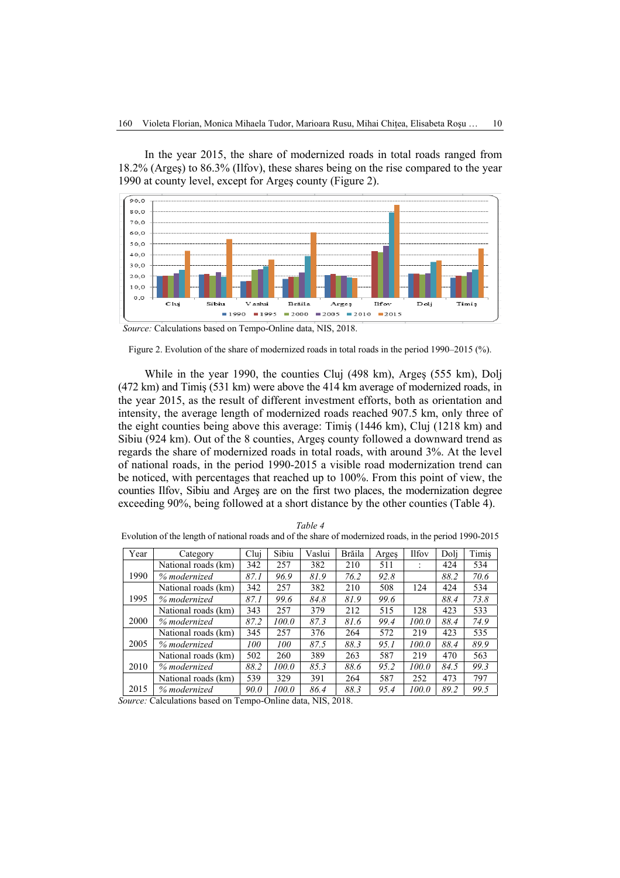In the year 2015, the share of modernized roads in total roads ranged from 18.2% (Argeş) to 86.3% (Ilfov), these shares being on the rise compared to the year 1990 at county level, except for Argeş county (Figure 2).



*Source:* Calculations based on Tempo-Online data, NIS, 2018.

While in the year 1990, the counties Cluj (498 km), Argeş (555 km), Dolj (472 km) and Timiş (531 km) were above the 414 km average of modernized roads, in the year 2015, as the result of different investment efforts, both as orientation and intensity, the average length of modernized roads reached 907.5 km, only three of the eight counties being above this average: Timiş (1446 km), Cluj (1218 km) and Sibiu (924 km). Out of the 8 counties, Argeş county followed a downward trend as regards the share of modernized roads in total roads, with around 3%. At the level of national roads, in the period 1990-2015 a visible road modernization trend can be noticed, with percentages that reached up to 100%. From this point of view, the counties Ilfov, Sibiu and Argeş are on the first two places, the modernization degree exceeding 90%, being followed at a short distance by the other counties (Table 4).

| Year | Category            | Clui        | Sibiu | Vaslui | Brăila | Argeş | <b>Ilfov</b> | Doli | Timis |
|------|---------------------|-------------|-------|--------|--------|-------|--------------|------|-------|
|      | National roads (km) | 342         | 257   | 382    | 210    | 511   |              | 424  | 534   |
| 1990 | % modernized        | 87.1        | 96.9  | 81.9   | 76.2   | 92.8  |              | 88.2 | 70.6  |
|      | National roads (km) | 342         | 257   | 382    | 210    | 508   | 124          | 424  | 534   |
| 1995 | % modernized        | 87.1        | 99.6  | 84.8   | 81.9   | 99.6  |              | 88.4 | 73.8  |
|      | National roads (km) | 343         | 257   | 379    | 212    | 515   | 128          | 423  | 533   |
| 2000 | % modernized        | 87.2        | 100.0 | 87.3   | 81.6   | 99.4  | 100.0        | 88.4 | 74.9  |
|      | National roads (km) | 345         | 257   | 376    | 264    | 572   | 219          | 423  | 535   |
| 2005 | % modernized        | 100         | 100   | 87.5   | 88.3   | 95.1  | 100.0        | 88.4 | 89.9  |
|      | National roads (km) | 502         | 260   | 389    | 263    | 587   | 219          | 470  | 563   |
| 2010 | % modernized        | 88.2        | 100.0 | 85.3   | 88.6   | 95.2  | 100.0        | 84.5 | 99.3  |
|      | National roads (km) | 539         | 329   | 391    | 264    | 587   | 252          | 473  | 797   |
| 2015 | % modernized        | <i>90.0</i> | 100.0 | 86.4   | 88.3   | 95.4  | 100.0        | 89.2 | 99.5  |

*Table 4* Evolution of the length of national roads and of the share of modernized roads, in the period 1990-2015

*Source:* Calculations based on Tempo-Online data, NIS, 2018.

Figure 2. Evolution of the share of modernized roads in total roads in the period 1990–2015 (%).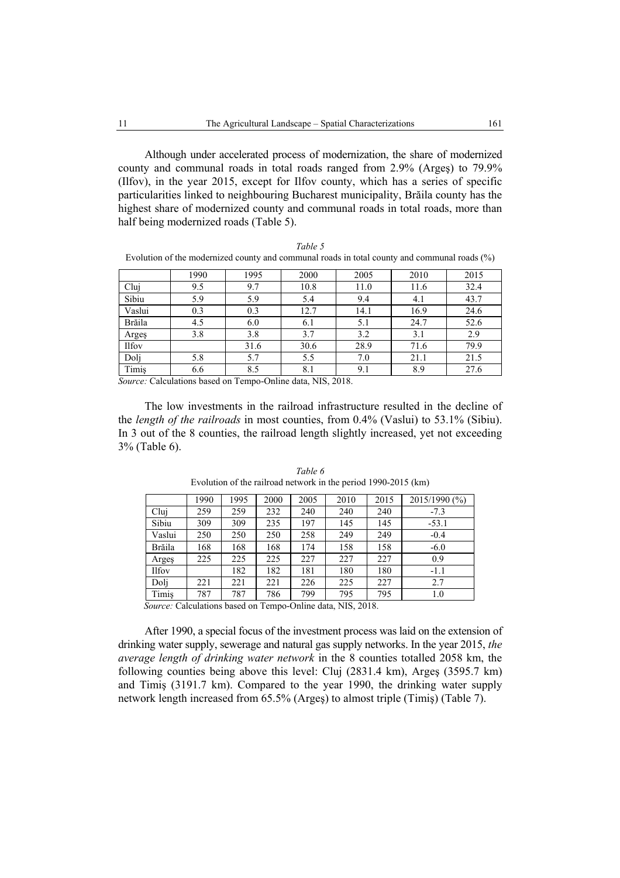Although under accelerated process of modernization, the share of modernized county and communal roads in total roads ranged from 2.9% (Argeş) to 79.9% (Ilfov), in the year 2015, except for Ilfov county, which has a series of specific particularities linked to neighbouring Bucharest municipality, Brăila county has the highest share of modernized county and communal roads in total roads, more than half being modernized roads (Table 5).

|              |      | ╯    |      |      | $\epsilon$ | $\sim$ $\sim$ |
|--------------|------|------|------|------|------------|---------------|
|              | 1990 | 1995 | 2000 | 2005 | 2010       | 2015          |
| Cluj         | 9.5  | 9.7  | 10.8 | 11.0 | 11.6       | 32.4          |
| Sibiu        | 5.9  | 5.9  | 5.4  | 9.4  | 4.1        | 43.7          |
| Vaslui       | 0.3  | 0.3  | 12.7 | 14.1 | 16.9       | 24.6          |
| Brăila       | 4.5  | 6.0  | 6.1  | 5.1  | 24.7       | 52.6          |
| Arges        | 3.8  | 3.8  | 3.7  | 3.2  | 3.1        | 2.9           |
| <b>Ilfov</b> |      | 31.6 | 30.6 | 28.9 | 71.6       | 79.9          |
| Dolj         | 5.8  | 5.7  | 5.5  | 7.0  | 21.1       | 21.5          |
| Timiş        | 6.6  | 8.5  | 8.1  | 9.1  | 8.9        | 27.6          |

*Table 5*  Evolution of the modernized county and communal roads in total county and communal roads (%)

*Source:* Calculations based on Tempo-Online data, NIS, 2018.

The low investments in the railroad infrastructure resulted in the decline of the *length of the railroads* in most counties, from 0.4% (Vaslui) to 53.1% (Sibiu). In 3 out of the 8 counties, the railroad length slightly increased, yet not exceeding 3% (Table 6).

|              | 1990 | 1995 | 2000 | 2005 | 2010 | 2015 | 2015/1990 (%) |
|--------------|------|------|------|------|------|------|---------------|
| Cluj         | 259  | 259  | 232  | 240  | 240  | 240  | $-7.3$        |
| Sibiu        | 309  | 309  | 235  | 197  | 145  | 145  | $-53.1$       |
| Vaslui       | 250  | 250  | 250  | 258  | 249  | 249  | $-0.4$        |
| Brăila       | 168  | 168  | 168  | 174  | 158  | 158  | $-6.0$        |
| Arges        | 225  | 225  | 225  | 227  | 227  | 227  | 0.9           |
| <b>Ilfov</b> |      | 182  | 182  | 181  | 180  | 180  | $-1.1$        |
| Dolj         | 221  | 221  | 221  | 226  | 225  | 227  | 2.7           |
| Timis        | 787  | 787  | 786  | 799  | 795  | 795  | 1.0           |

*Table 6* Evolution of the railroad network in the period 1990-2015 (km)

 *Source:* Calculations based on Tempo-Online data, NIS, 2018.

After 1990, a special focus of the investment process was laid on the extension of drinking water supply, sewerage and natural gas supply networks. In the year 2015, *the average length of drinking water network* in the 8 counties totalled 2058 km, the following counties being above this level: Cluj (2831.4 km), Argeş (3595.7 km) and Timiş (3191.7 km). Compared to the year 1990, the drinking water supply network length increased from 65.5% (Argeş) to almost triple (Timiş) (Table 7).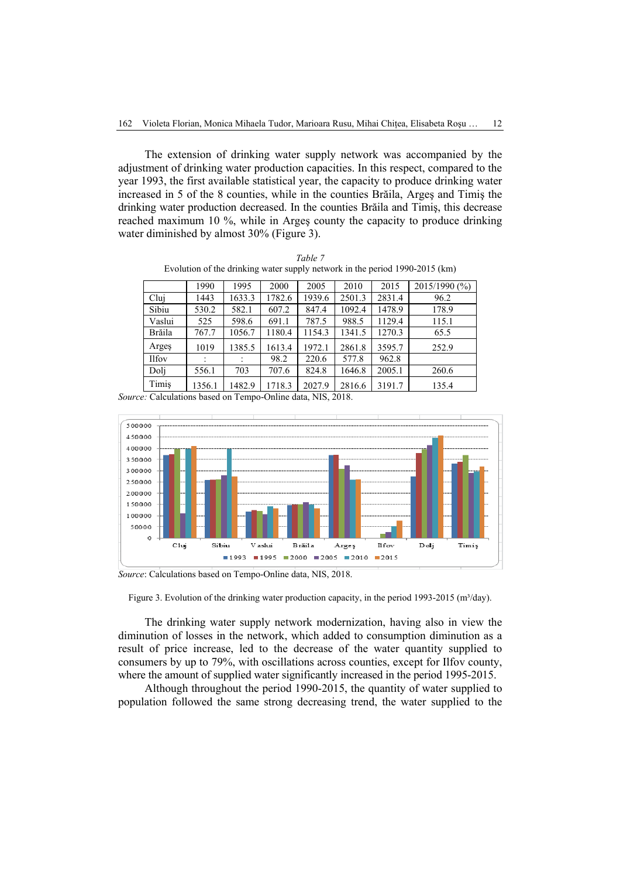The extension of drinking water supply network was accompanied by the adjustment of drinking water production capacities. In this respect, compared to the year 1993, the first available statistical year, the capacity to produce drinking water increased in 5 of the 8 counties, while in the counties Brăila, Argeş and Timiş the drinking water production decreased. In the counties Brăila and Timiş, this decrease reached maximum 10 %, while in Argeş county the capacity to produce drinking water diminished by almost 30% (Figure 3).

| Table 7                                                                     |
|-----------------------------------------------------------------------------|
| Evolution of the drinking water supply network in the period 1990-2015 (km) |

|               | 1990   | 1995   | 2000   | 2005   | 2010   | 2015   | 2015/1990 (%) |
|---------------|--------|--------|--------|--------|--------|--------|---------------|
| Cluj          | 1443   | 1633.3 | 1782.6 | 1939.6 | 2501.3 | 2831.4 | 96.2          |
| Sibiu         | 530.2  | 582.1  | 607.2  | 847.4  | 1092.4 | 1478.9 | 178.9         |
| Vaslui        | 525    | 598.6  | 691.1  | 787.5  | 988.5  | 1129.4 | 115.1         |
| <b>Brăila</b> | 767.7  | 1056.7 | 1180.4 | 1154.3 | 1341.5 | 1270.3 | 65.5          |
| Arges         | 1019   | 1385.5 | 1613.4 | 1972.1 | 2861.8 | 3595.7 | 252.9         |
| Ilfov         |        | ٠      | 98.2   | 220.6  | 577.8  | 962.8  |               |
| Doli          | 556.1  | 703    | 707.6  | 824.8  | 1646.8 | 2005.1 | 260.6         |
| Timis         | 1356.1 | 1482.9 | 1718.3 | 2027.9 | 2816.6 | 3191.7 | 135.4         |

*Source:* Calculations based on Tempo-Online data, NIS, 2018.



*Source*: Calculations based on Tempo-Online data, NIS, 2018.

Figure 3. Evolution of the drinking water production capacity, in the period 1993-2015 ( $m^3$ /day).

The drinking water supply network modernization, having also in view the diminution of losses in the network, which added to consumption diminution as a result of price increase, led to the decrease of the water quantity supplied to consumers by up to 79%, with oscillations across counties, except for Ilfov county, where the amount of supplied water significantly increased in the period 1995-2015.

Although throughout the period 1990-2015, the quantity of water supplied to population followed the same strong decreasing trend, the water supplied to the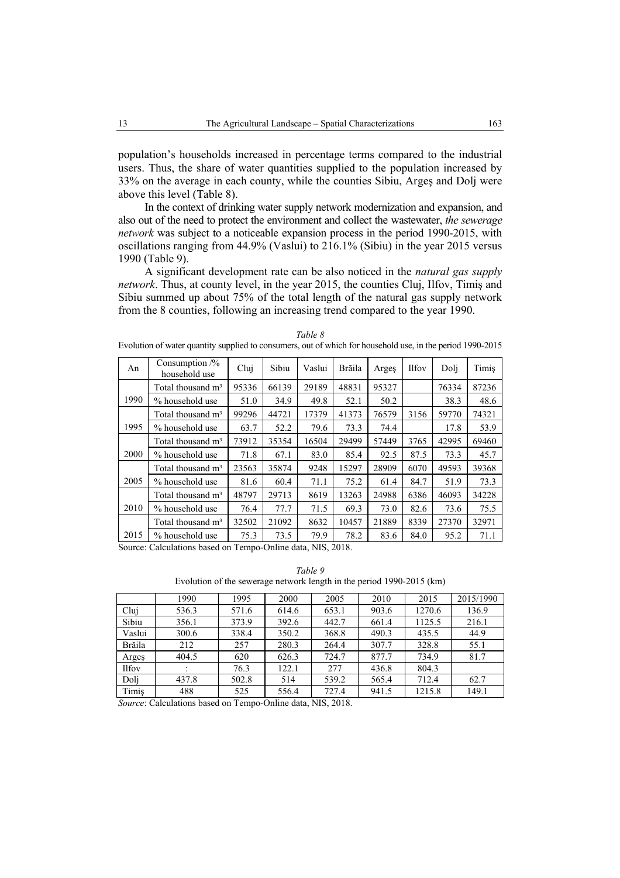population's households increased in percentage terms compared to the industrial users. Thus, the share of water quantities supplied to the population increased by 33% on the average in each county, while the counties Sibiu, Argeş and Dolj were above this level (Table 8).

In the context of drinking water supply network modernization and expansion, and also out of the need to protect the environment and collect the wastewater, *the sewerage network* was subject to a noticeable expansion process in the period 1990-2015, with oscillations ranging from 44.9% (Vaslui) to 216.1% (Sibiu) in the year 2015 versus 1990 (Table 9).

A significant development rate can be also noticed in the *natural gas supply network*. Thus, at county level, in the year 2015, the counties Cluj, Ilfov, Timiş and Sibiu summed up about 75% of the total length of the natural gas supply network from the 8 counties, following an increasing trend compared to the year 1990.

| An   | Consumption $\frac{1}{2}$<br>household use | Cluj  | Sibiu | Vaslui | Brăila | Arges | <b>Ilfov</b> | Doli  | Timis |
|------|--------------------------------------------|-------|-------|--------|--------|-------|--------------|-------|-------|
|      | Total thousand m <sup>3</sup>              | 95336 | 66139 | 29189  | 48831  | 95327 |              | 76334 | 87236 |
| 1990 | % household use                            | 51.0  | 34.9  | 49.8   | 52.1   | 50.2  |              | 38.3  | 48.6  |
|      | Total thousand m <sup>3</sup>              | 99296 | 44721 | 17379  | 41373  | 76579 | 3156         | 59770 | 74321 |
| 1995 | % household use                            | 63.7  | 52.2  | 79.6   | 73.3   | 74.4  |              | 17.8  | 53.9  |
|      | Total thousand m <sup>3</sup>              | 73912 | 35354 | 16504  | 29499  | 57449 | 3765         | 42995 | 69460 |
| 2000 | % household use                            | 71.8  | 67.1  | 83.0   | 85.4   | 92.5  | 87.5         | 73.3  | 45.7  |
|      | Total thousand m <sup>3</sup>              | 23563 | 35874 | 9248   | 15297  | 28909 | 6070         | 49593 | 39368 |
| 2005 | % household use                            | 81.6  | 60.4  | 71.1   | 75.2   | 61.4  | 84.7         | 51.9  | 73.3  |
|      | Total thousand m <sup>3</sup>              | 48797 | 29713 | 8619   | 13263  | 24988 | 6386         | 46093 | 34228 |
| 2010 | % household use                            | 76.4  | 77.7  | 71.5   | 69.3   | 73.0  | 82.6         | 73.6  | 75.5  |
|      | Total thousand m <sup>3</sup>              | 32502 | 21092 | 8632   | 10457  | 21889 | 8339         | 27370 | 32971 |
| 2015 | % household use                            | 75.3  | 73.5  | 79.9   | 78.2   | 83.6  | 84.0         | 95.2  | 71.1  |

*Table 8* Evolution of water quantity supplied to consumers, out of which for household use, in the period 1990-2015

Source: Calculations based on Tempo-Online data, NIS, 2018.

*Table 9*  Evolution of the sewerage network length in the period 1990-2015 (km)

|              | 1990  | 1995  | 2000  | 2005  | 2010  | 2015   | 2015/1990 |
|--------------|-------|-------|-------|-------|-------|--------|-----------|
| Clui         | 536.3 | 571.6 | 614.6 | 653.1 | 903.6 | 1270.6 | 136.9     |
| Sibiu        | 356.1 | 373.9 | 392.6 | 442.7 | 661.4 | 1125.5 | 216.1     |
| Vaslui       | 300.6 | 338.4 | 350.2 | 368.8 | 490.3 | 435.5  | 44.9      |
| Brăila       | 212   | 257   | 280.3 | 264.4 | 307.7 | 328.8  | 55.1      |
| Arges        | 404.5 | 620   | 626.3 | 724.7 | 877.7 | 734.9  | 81.7      |
| <b>Ilfov</b> |       | 76.3  | 122.1 | 277   | 436.8 | 804.3  |           |
| Doli         | 437.8 | 502.8 | 514   | 539.2 | 565.4 | 712.4  | 62.7      |
| Timis        | 488   | 525   | 556.4 | 727.4 | 941.5 | 1215.8 | 149.1     |

*Source*: Calculations based on Tempo-Online data, NIS, 2018.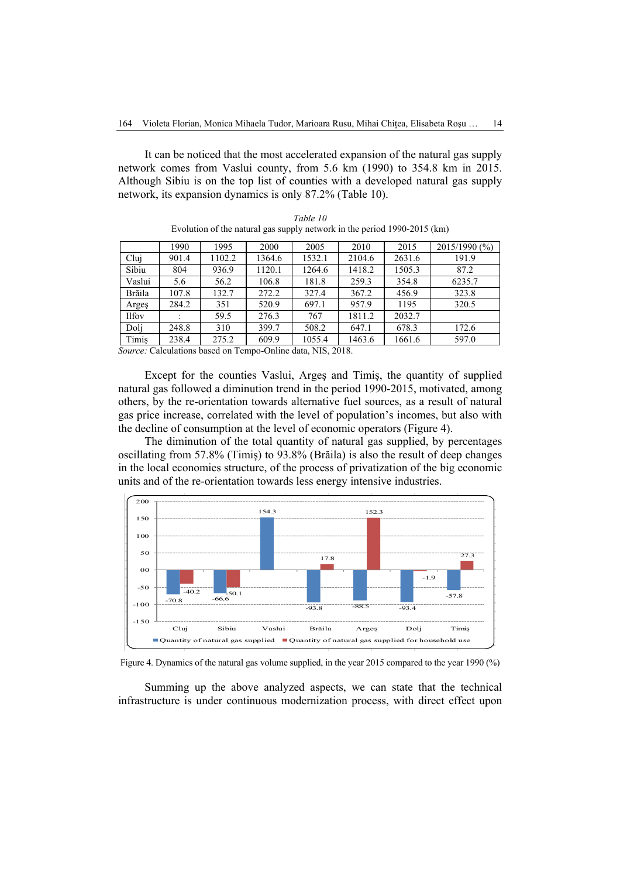It can be noticed that the most accelerated expansion of the natural gas supply network comes from Vaslui county, from 5.6 km (1990) to 354.8 km in 2015. Although Sibiu is on the top list of counties with a developed natural gas supply network, its expansion dynamics is only 87.2% (Table 10).

|              | 1990  | 1995   | 2000   | 2005   | 2010   | 2015   | 2015/1990 (%) |
|--------------|-------|--------|--------|--------|--------|--------|---------------|
| Cluj         | 901.4 | 1102.2 | 1364.6 | 1532.1 | 2104.6 | 2631.6 | 191.9         |
| Sibiu        | 804   | 936.9  | 1120.1 | 1264.6 | 1418.2 | 1505.3 | 87.2          |
| Vaslui       | 5.6   | 56.2   | 106.8  | 181.8  | 259.3  | 354.8  | 6235.7        |
| Brăila       | 107.8 | 132.7  | 272.2  | 327.4  | 367.2  | 456.9  | 323.8         |
| Arges        | 284.2 | 351    | 520.9  | 697.1  | 957.9  | 1195   | 320.5         |
| <b>Ilfov</b> |       | 59.5   | 276.3  | 767    | 1811.2 | 2032.7 |               |
| Doli         | 248.8 | 310    | 399.7  | 508.2  | 647.1  | 678.3  | 172.6         |
| Timis        | 238.4 | 275.2  | 609.9  | 1055.4 | 1463.6 | 1661.6 | 597.0         |

*Table 10* Evolution of the natural gas supply network in the period 1990-2015 (km)

*Source:* Calculations based on Tempo-Online data, NIS, 2018.

Except for the counties Vaslui, Argeş and Timiş, the quantity of supplied natural gas followed a diminution trend in the period 1990-2015, motivated, among others, by the re-orientation towards alternative fuel sources, as a result of natural gas price increase, correlated with the level of population's incomes, but also with the decline of consumption at the level of economic operators (Figure 4).

The diminution of the total quantity of natural gas supplied, by percentages oscillating from 57.8% (Timiş) to 93.8% (Brăila) is also the result of deep changes in the local economies structure, of the process of privatization of the big economic units and of the re-orientation towards less energy intensive industries.



Figure 4. Dynamics of the natural gas volume supplied, in the year 2015 compared to the year 1990 (%)

Summing up the above analyzed aspects, we can state that the technical infrastructure is under continuous modernization process, with direct effect upon